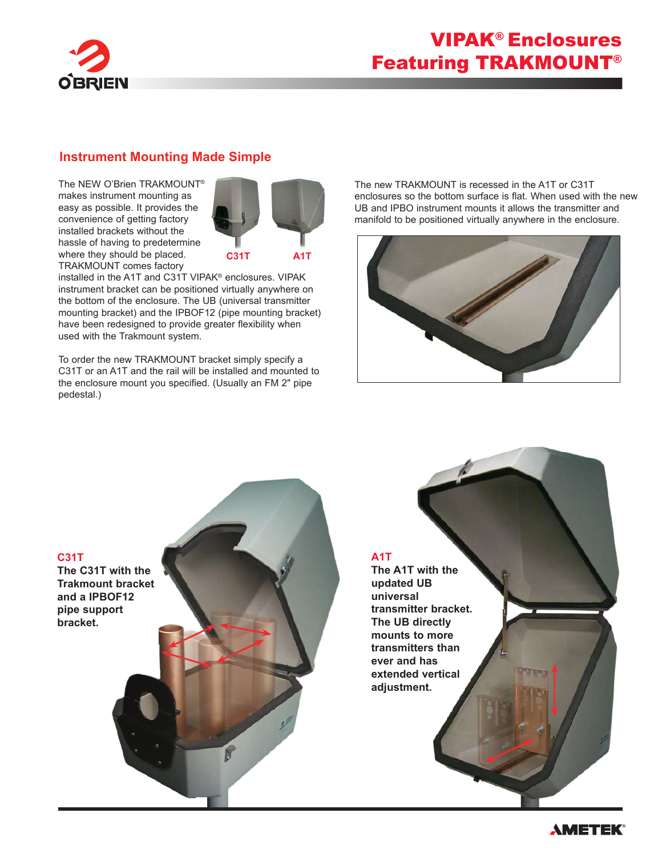

## VIPAK® Enclosures Featuring TRAKMOUNT®

#### **Instrument Mounting Made Simple**

The NEW O'Brien TRAKMOUNT® makes instrument mounting as easy as possible. It provides the convenience of getting factory installed brackets without the hassle of having to predetermine where they should be placed. TRAKMOUNT comes factory



installed in the A1T and C31T VIPAK® enclosures. VIPAK instrument bracket can be positioned virtually anywhere on the bottom of the enclosure. The UB (universal transmitter mounting bracket) and the IPBOF12 (pipe mounting bracket) have been redesigned to provide greater flexibility when used with the Trakmount system.

To order the new TRAKMOUNT bracket simply specify a C31T or an A1T and the rail will be installed and mounted to the enclosure mount you specified. (Usually an FM 2" pipe pedestal.)

The new TRAKMOUNT is recessed in the A1T or C31T enclosures so the bottom surface is flat. When used with the new UB and IPBO instrument mounts it allows the transmitter and manifold to be positioned virtually anywhere in the enclosure.